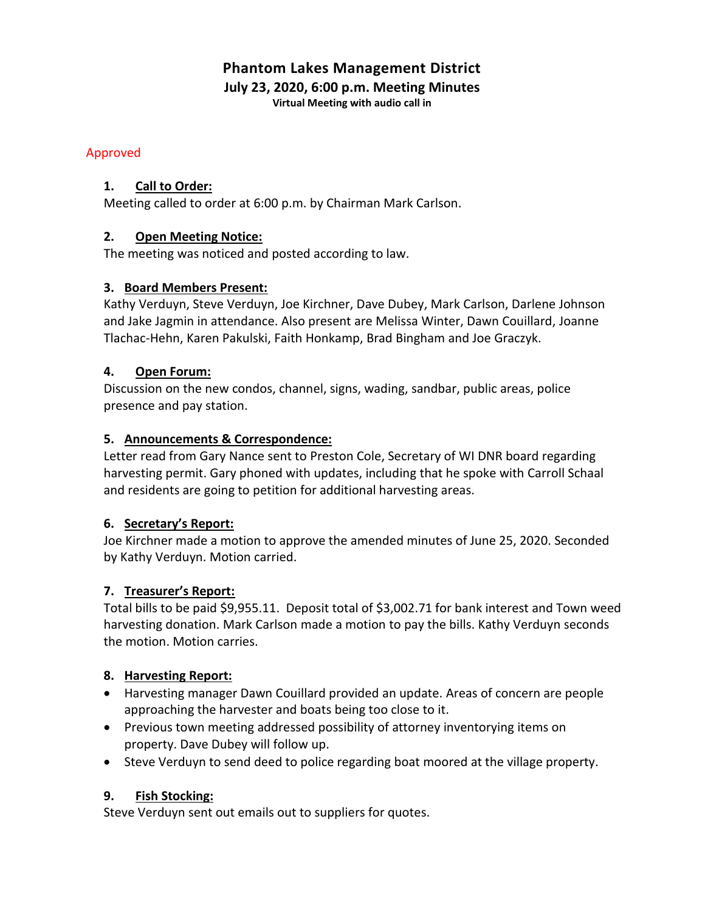# **Phantom Lakes Management District**

**July 23, 2020, 6:00 p.m. Meeting Minutes**

**Virtual Meeting with audio call in**

## Approved

## **1. Call to Order:**

Meeting called to order at 6:00 p.m. by Chairman Mark Carlson.

# **2. Open Meeting Notice:**

The meeting was noticed and posted according to law.

# **3. Board Members Present:**

Kathy Verduyn, Steve Verduyn, Joe Kirchner, Dave Dubey, Mark Carlson, Darlene Johnson and Jake Jagmin in attendance. Also present are Melissa Winter, Dawn Couillard, Joanne Tlachac-Hehn, Karen Pakulski, Faith Honkamp, Brad Bingham and Joe Graczyk.

# **4. Open Forum:**

Discussion on the new condos, channel, signs, wading, sandbar, public areas, police presence and pay station.

# **5. Announcements & Correspondence:**

Letter read from Gary Nance sent to Preston Cole, Secretary of WI DNR board regarding harvesting permit. Gary phoned with updates, including that he spoke with Carroll Schaal and residents are going to petition for additional harvesting areas.

# **6. Secretary's Report:**

Joe Kirchner made a motion to approve the amended minutes of June 25, 2020. Seconded by Kathy Verduyn. Motion carried.

# **7. Treasurer's Report:**

Total bills to be paid \$9,955.11. Deposit total of \$3,002.71 for bank interest and Town weed harvesting donation. Mark Carlson made a motion to pay the bills. Kathy Verduyn seconds the motion. Motion carries.

## **8. Harvesting Report:**

- Harvesting manager Dawn Couillard provided an update. Areas of concern are people approaching the harvester and boats being too close to it.
- Previous town meeting addressed possibility of attorney inventorying items on property. Dave Dubey will follow up.
- Steve Verduyn to send deed to police regarding boat moored at the village property.

# **9. Fish Stocking:**

Steve Verduyn sent out emails out to suppliers for quotes.